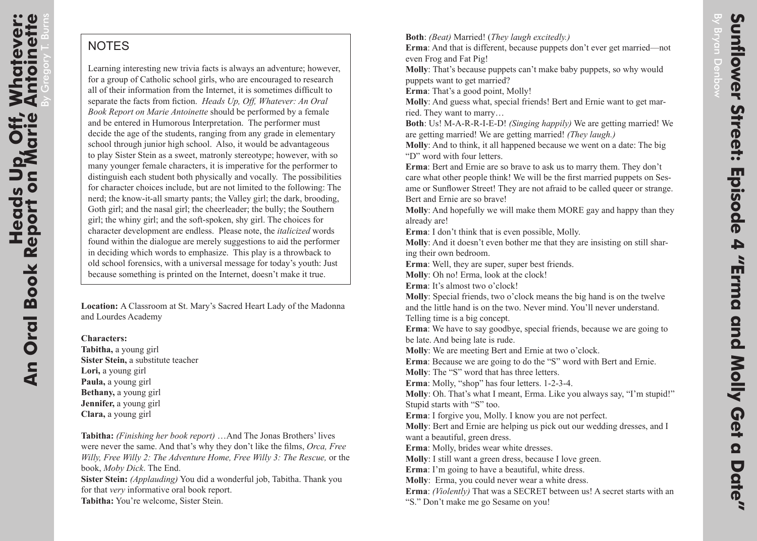## **NOTES**

Learning interesting new trivia facts is always an adventure; however, for a group of Catholic school girls, who are encouraged to research all of their information from the Internet, it is sometimes difficult to separate the facts from fiction. *Heads Up, Off, Whatever: An Oral Book Report on Marie Antoinette* should be performed by a female and be entered in Humorous Interpretation. The performer must decide the age of the students, ranging from any grade in elementary school through junior high school. Also, it would be advantageous to play Sister Stein as a sweet, matronly stereotype; however, with so many younger female characters, it is imperative for the performer to distinguish each student both physically and vocally. The possibilities for character choices include, but are not limited to the following: The nerd; the know-it-all smarty pants; the Valley girl; the dark, brooding, Goth girl; and the nasal girl; the cheerleader; the bully; the Southern girl; the whiny girl; and the soft-spoken, shy girl. The choices for character development are endless. Please note, the *italicized* words found within the dialogue are merely suggestions to aid the performer in deciding which words to emphasize. This play is a throwback to old school forensics, with a universal message for today's youth: Just because something is printed on the Internet, doesn't make it true.

**Location:** A Classroom at St. Mary's Sacred Heart Lady of the Madonna and Lourdes Academy

**Characters: Tabitha,** a young girl **Sister Stein,** a substitute teacher **Lori,** a young girl **Paula,** a young girl **Bethany,** a young girl **Jennifer,** a young girl **Clara,** a young girl

**Tabitha:** *(Finishing her book report)* …And The Jonas Brothers' lives were never the same. And that's why they don't like the films, *Orca, Free Willy, Free Willy 2: The Adventure Home, Free Willy 3: The Rescue,* or the book, *Moby Dick*. The End.

**Sister Stein:** *(Applauding)* You did a wonderful job, Tabitha. Thank you for that *very* informative oral book report. **Tabitha:** You're welcome, Sister Stein.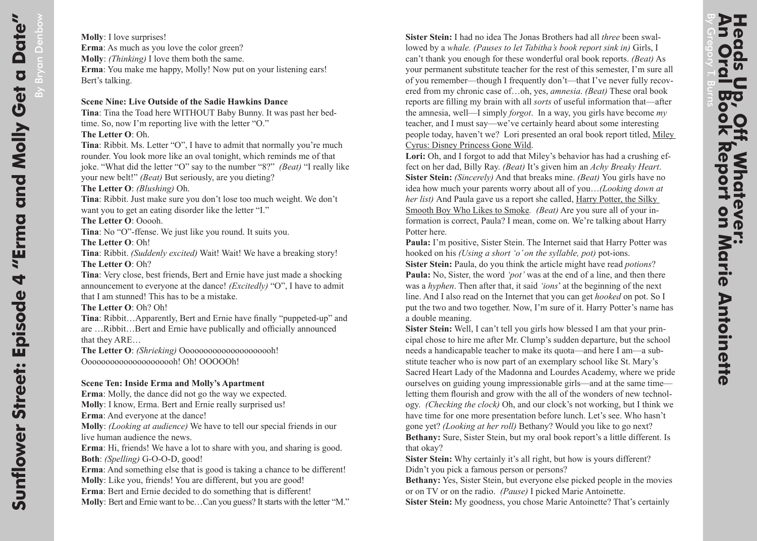**Sister Stein:** I had no idea The Jonas Brothers had all *three* been swallowed by a *whale. (Pauses to let Tabitha's book report sink in)* Girls, I can't thank you enough for these wonderful oral book reports. *(Beat)* As your permanent substitute teacher for the rest of this semester, I'm sure all of you remember—though I frequently don't—that I've never fully recovered from my chronic case of…oh, yes, *amnesia*. *(Beat)* These oral book reports are filling my brain with all *sorts* of useful information that—after the amnesia, well—I simply *forgot*. In a way, you girls have become *my* teacher, and I must say—we've certainly heard about some interesting people today, haven't we? Lori presented an oral book report titled, Miley Cyrus: Disney Princess Gone Wild.

**Lori:** Oh, and I forgot to add that Miley's behavior has had a crushing effect on her dad, Billy Ray. *(Beat)* It's given him an *Achy Breaky Heart*. **Sister Stein:** *(Sincerely)* And that breaks mine. *(Beat)* You girls have no idea how much your parents worry about all of you…*(Looking down at her list)* And Paula gave us a report she called, Harry Potter, the Silky Smooth Boy Who Likes to Smoke*. (Beat)* Are you sure all of your information is correct, Paula? I mean, come on. We're talking about Harry Potter here.

**Paula:** I'm positive, Sister Stein. The Internet said that Harry Potter was hooked on his *(Using a short 'o' on the syllable, pot)* pot-ions.

**Sister Stein:** Paula, do you think the article might have read *potions*? **Paula:** No, Sister, the word *'pot'* was at the end of a line, and then there was a *hyphen*. Then after that, it said *'ions*' at the beginning of the next line. And I also read on the Internet that you can get *hooked* on pot. So I put the two and two together. Now, I'm sure of it. Harry Potter's name has a double meaning.

**Sister Stein:** Well, I can't tell you girls how blessed I am that your principal chose to hire me after Mr. Clump's sudden departure, but the school needs a handicapable teacher to make its quota—and here I am—a substitute teacher who is now part of an exemplary school like St. Mary's Sacred Heart Lady of the Madonna and Lourdes Academy, where we pride ourselves on guiding young impressionable girls—and at the same time letting them flourish and grow with the all of the wonders of new technology. *(Checking the clock)* Oh, and our clock's not working, but I think we have time for one more presentation before lunch. Let's see. Who hasn't gone yet? *(Looking at her roll)* Bethany? Would you like to go next? **Bethany:** Sure, Sister Stein, but my oral book report's a little different. Is that okay?

**Sister Stein:** Why certainly it's all right, but how is yours different? Didn't you pick a famous person or persons?

**Bethany:** Yes, Sister Stein, but everyone else picked people in the movies or on TV or on the radio. *(Pause)* I picked Marie Antoinette.

**Sister Stein:** My goodness, you chose Marie Antoinette? That's certainly